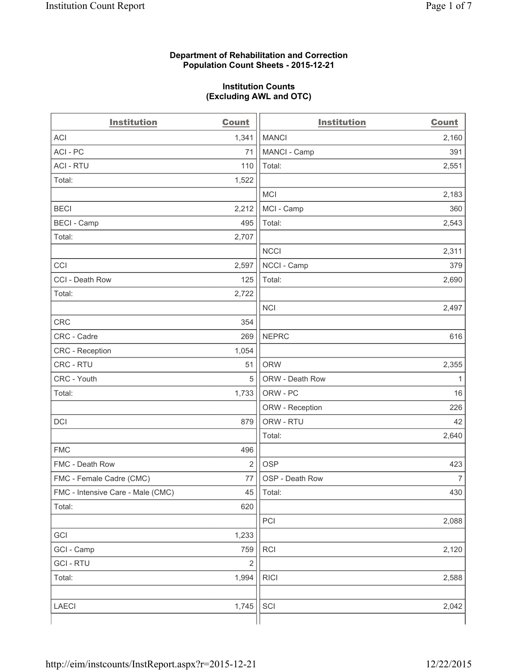#### **Department of Rehabilitation and Correction Population Count Sheets - 2015-12-21**

#### **Institution Counts (Excluding AWL and OTC)**

| <b>Institution</b>                | Count          | <b>Institution</b> | <b>Count</b>   |
|-----------------------------------|----------------|--------------------|----------------|
| <b>ACI</b>                        | 1,341          | <b>MANCI</b>       | 2,160          |
| ACI-PC                            | 71             | MANCI - Camp       | 391            |
| <b>ACI - RTU</b>                  | 110            | Total:             | 2,551          |
| Total:                            | 1,522          |                    |                |
|                                   |                | <b>MCI</b>         | 2,183          |
| <b>BECI</b>                       | 2,212          | MCI - Camp         | 360            |
| <b>BECI</b> - Camp                | 495            | Total:             | 2,543          |
| Total:                            | 2,707          |                    |                |
|                                   |                | <b>NCCI</b>        | 2,311          |
| CCI                               | 2,597          | NCCI - Camp        | 379            |
| CCI - Death Row                   | 125            | Total:             | 2,690          |
| Total:                            | 2,722          |                    |                |
|                                   |                | <b>NCI</b>         | 2,497          |
| <b>CRC</b>                        | 354            |                    |                |
| CRC - Cadre                       | 269            | <b>NEPRC</b>       | 616            |
| CRC - Reception                   | 1,054          |                    |                |
| CRC - RTU                         | 51             | <b>ORW</b>         | 2,355          |
| CRC - Youth                       | 5              | ORW - Death Row    | 1              |
| Total:                            | 1,733          | ORW - PC           | 16             |
|                                   |                | ORW - Reception    | 226            |
| DCI                               | 879            | ORW - RTU          | 42             |
|                                   |                | Total:             | 2,640          |
| <b>FMC</b>                        | 496            |                    |                |
| FMC - Death Row                   | $\overline{2}$ | <b>OSP</b>         | 423            |
| FMC - Female Cadre (CMC)          | 77             | OSP - Death Row    | $\overline{7}$ |
| FMC - Intensive Care - Male (CMC) | 45             | Total:             | 430            |
| Total:                            | 620            |                    |                |
|                                   |                | PCI                | 2,088          |
| GCI                               | 1,233          |                    |                |
| GCI - Camp                        | 759            | <b>RCI</b>         | 2,120          |
| <b>GCI - RTU</b>                  | $\mathbf 2$    |                    |                |
| Total:                            | 1,994          | <b>RICI</b>        | 2,588          |
|                                   |                |                    |                |
| LAECI                             | 1,745          | SCI                | 2,042          |
|                                   |                |                    |                |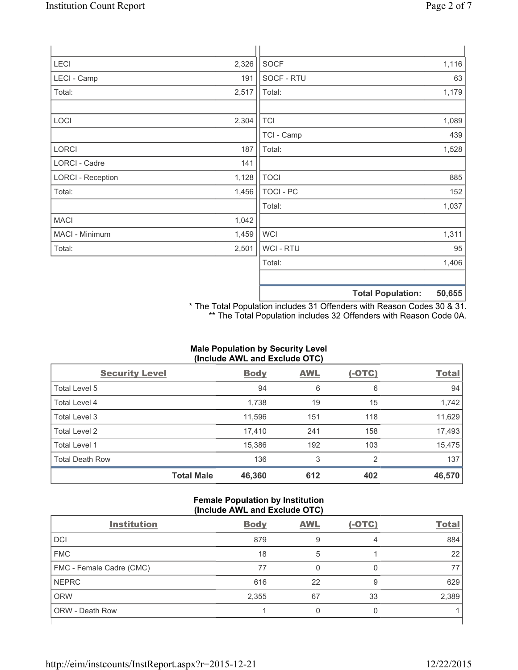| <b>LECI</b>              | 2,326 | <b>SOCF</b>      |                          | 1,116  |
|--------------------------|-------|------------------|--------------------------|--------|
| LECI - Camp              | 191   | SOCF - RTU       |                          | 63     |
| Total:                   | 2,517 | Total:           |                          | 1,179  |
| LOCI                     | 2,304 | <b>TCI</b>       |                          | 1,089  |
|                          |       | TCI - Camp       |                          | 439    |
| LORCI                    | 187   | Total:           |                          | 1,528  |
| LORCI - Cadre            | 141   |                  |                          |        |
| <b>LORCI - Reception</b> | 1,128 | <b>TOCI</b>      |                          | 885    |
| Total:                   | 1,456 | <b>TOCI - PC</b> |                          | 152    |
|                          |       | Total:           |                          | 1,037  |
| <b>MACI</b>              | 1,042 |                  |                          |        |
| MACI - Minimum           | 1,459 | <b>WCI</b>       |                          | 1,311  |
| Total:                   | 2,501 | <b>WCI-RTU</b>   |                          | 95     |
|                          |       | Total:           |                          | 1,406  |
|                          |       |                  | <b>Total Population:</b> | 50,655 |

\* The Total Population includes 31 Offenders with Reason Codes 30 & 31. \*\* The Total Population includes 32 Offenders with Reason Code 0A.

# **Male Population by Security Level (Include AWL and Exclude OTC)**

| <b>Security Level</b>  |                   | <b>Body</b> | <b>AWL</b> | $(-OTC)$ | <b>Total</b> |
|------------------------|-------------------|-------------|------------|----------|--------------|
| Total Level 5          |                   | 94          | 6          | 6        | 94           |
| <b>Total Level 4</b>   |                   | 1,738       | 19         | 15       | 1,742        |
| Total Level 3          |                   | 11,596      | 151        | 118      | 11,629       |
| Total Level 2          |                   | 17,410      | 241        | 158      | 17,493       |
| Total Level 1          |                   | 15,386      | 192        | 103      | 15,475       |
| <b>Total Death Row</b> |                   | 136         | 3          | 2        | 137          |
|                        | <b>Total Male</b> | 46,360      | 612        | 402      | 46,570       |

## **Female Population by Institution (Include AWL and Exclude OTC)**

| $\frac{1}{2}$            |             |            |          |              |  |  |
|--------------------------|-------------|------------|----------|--------------|--|--|
| <b>Institution</b>       | <b>Body</b> | <b>AWL</b> | $(-OTC)$ | <b>Total</b> |  |  |
| <b>DCI</b>               | 879         | 9          | 4        | 884          |  |  |
| <b>FMC</b>               | 18          | 5          |          | 22           |  |  |
| FMC - Female Cadre (CMC) | 77          |            |          | 77           |  |  |
| <b>NEPRC</b>             | 616         | 22         | 9        | 629          |  |  |
| <b>ORW</b>               | 2,355       | 67         | 33       | 2,389        |  |  |
| <b>ORW - Death Row</b>   |             |            |          |              |  |  |
|                          |             |            |          |              |  |  |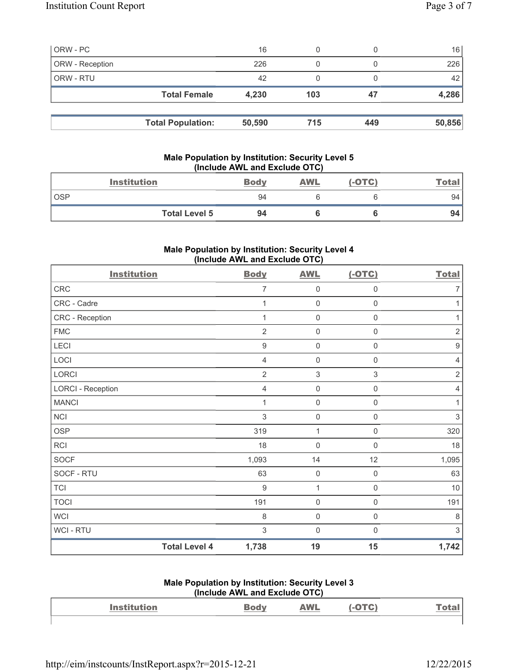| ORW - PC        |                          | 16     | 0   |     | 16     |
|-----------------|--------------------------|--------|-----|-----|--------|
| ORW - Reception |                          | 226    | 0   |     | 226    |
| ORW - RTU       |                          | 42     | 0   |     | 42     |
|                 | <b>Total Female</b>      | 4,230  | 103 | 47  | 4,286  |
|                 |                          |        |     |     |        |
|                 | <b>Total Population:</b> | 50,590 | 715 | 449 | 50,856 |

# **Male Population by Institution: Security Level 5 (Include AWL and Exclude OTC)**

|            | <b>Institution</b>   | <b>Body</b> | <b>AWL</b> | $(-OTC)$ | <u>Total</u> |
|------------|----------------------|-------------|------------|----------|--------------|
| <b>OSP</b> |                      | 94          |            |          | 94           |
|            | <b>Total Level 5</b> | 94          |            |          | 94           |

## **Male Population by Institution: Security Level 4 (Include AWL and Exclude OTC)**

| <b>Institution</b>       |                      | <b>Body</b>    | <b>AWL</b>          | $(-OTC)$            | <b>Total</b>     |
|--------------------------|----------------------|----------------|---------------------|---------------------|------------------|
| <b>CRC</b>               |                      | 7              | $\mathsf{0}$        | 0                   | $\overline{7}$   |
| CRC - Cadre              |                      | 1              | $\mathsf{O}\xspace$ | $\mathsf{O}\xspace$ | 1                |
| CRC - Reception          |                      | 1              | $\mathsf{O}\xspace$ | $\boldsymbol{0}$    | 1                |
| <b>FMC</b>               |                      | $\overline{2}$ | $\mathsf{0}$        | $\boldsymbol{0}$    | $\mathbf 2$      |
| LECI                     |                      | 9              | $\mathsf{O}\xspace$ | $\mathbf 0$         | $\boldsymbol{9}$ |
| LOCI                     |                      | 4              | $\mathsf{0}$        | $\mathbf 0$         | $\overline{4}$   |
| LORCI                    |                      | $\overline{2}$ | $\sqrt{3}$          | $\,$ 3 $\,$         | $\sqrt{2}$       |
| <b>LORCI - Reception</b> |                      | $\overline{4}$ | $\mathsf{O}\xspace$ | $\mathsf{O}\xspace$ | $\overline{4}$   |
| <b>MANCI</b>             |                      | 1              | $\mathbf 0$         | $\mathsf{0}$        | 1                |
| <b>NCI</b>               |                      | 3              | $\mathsf{O}\xspace$ | $\mathbf 0$         | $\sqrt{3}$       |
| <b>OSP</b>               |                      | 319            | $\mathbf{1}$        | $\mathsf 0$         | 320              |
| <b>RCI</b>               |                      | 18             | $\mathsf{O}\xspace$ | $\mathbf 0$         | 18               |
| <b>SOCF</b>              |                      | 1,093          | 14                  | 12                  | 1,095            |
| SOCF - RTU               |                      | 63             | $\mathbf 0$         | $\boldsymbol{0}$    | 63               |
| <b>TCI</b>               |                      | 9              | 1                   | 0                   | $10$             |
| <b>TOCI</b>              |                      | 191            | $\mathsf{O}\xspace$ | $\mathsf 0$         | 191              |
| <b>WCI</b>               |                      | 8              | $\mathsf{O}\xspace$ | $\boldsymbol{0}$    | $\,8\,$          |
| WCI - RTU                |                      | 3              | $\mathsf 0$         | $\mathbf 0$         | 3                |
|                          | <b>Total Level 4</b> | 1,738          | 19                  | 15                  | 1,742            |

#### **Male Population by Institution: Security Level 3 (Include AWL and Exclude OTC)**

| <b>Institution</b> | WL |  |
|--------------------|----|--|
|                    |    |  |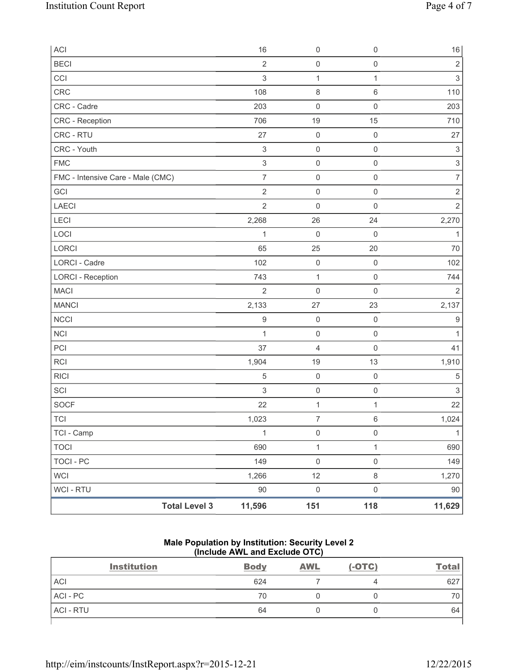| ACI                               | 16                        | $\mathsf{O}\xspace$ | $\mathsf 0$         | $16\,$                    |
|-----------------------------------|---------------------------|---------------------|---------------------|---------------------------|
| <b>BECI</b>                       | $\overline{2}$            | $\mathsf{O}\xspace$ | $\mathsf 0$         | $\sqrt{2}$                |
| CCI                               | $\mathsf 3$               | $\mathbf{1}$        | 1                   | $\,$ 3 $\,$               |
| <b>CRC</b>                        | 108                       | 8                   | $\,6\,$             | 110                       |
| CRC - Cadre                       | 203                       | $\mathsf{O}\xspace$ | $\mathsf 0$         | 203                       |
| CRC - Reception                   | 706                       | 19                  | 15                  | 710                       |
| CRC - RTU                         | 27                        | $\mathsf 0$         | $\mathsf{O}\xspace$ | 27                        |
| CRC - Youth                       | $\ensuremath{\mathsf{3}}$ | $\mathsf{O}\xspace$ | $\mathsf{O}\xspace$ | $\ensuremath{\mathsf{3}}$ |
| <b>FMC</b>                        | $\ensuremath{\mathsf{3}}$ | $\mathsf{O}\xspace$ | $\mathsf 0$         | $\ensuremath{\mathsf{3}}$ |
| FMC - Intensive Care - Male (CMC) | $\overline{7}$            | $\mathsf{O}\xspace$ | $\mathsf{O}\xspace$ | $\overline{7}$            |
| GCI                               | $\overline{2}$            | $\mathsf{O}\xspace$ | $\mathsf 0$         | $\sqrt{2}$                |
| <b>LAECI</b>                      | $\overline{2}$            | $\mathsf{O}\xspace$ | $\mathsf 0$         | $\sqrt{2}$                |
| <b>LECI</b>                       | 2,268                     | 26                  | 24                  | 2,270                     |
| LOCI                              | 1                         | $\mathsf{O}\xspace$ | $\mathbf 0$         | 1                         |
| <b>LORCI</b>                      | 65                        | 25                  | 20                  | 70                        |
| <b>LORCI - Cadre</b>              | 102                       | $\mathsf{O}\xspace$ | $\mathsf 0$         | 102                       |
| <b>LORCI - Reception</b>          | 743                       | $\mathbf{1}$        | $\mathsf 0$         | 744                       |
| <b>MACI</b>                       | $\overline{2}$            | $\mathsf{O}\xspace$ | $\mathsf 0$         | $\overline{2}$            |
| <b>MANCI</b>                      | 2,133                     | 27                  | 23                  | 2,137                     |
| <b>NCCI</b>                       | $\boldsymbol{9}$          | $\mathbf 0$         | $\mathsf 0$         | 9                         |
| <b>NCI</b>                        | 1                         | $\mathsf{O}\xspace$ | $\mathsf{O}\xspace$ | 1                         |
| PCI                               | 37                        | 4                   | $\mathsf{O}\xspace$ | 41                        |
| <b>RCI</b>                        | 1,904                     | 19                  | 13                  | 1,910                     |
| <b>RICI</b>                       | 5                         | $\mathsf{O}\xspace$ | $\mathsf 0$         | 5                         |
| SCI                               | $\ensuremath{\mathsf{3}}$ | $\mathsf{O}\xspace$ | $\mathsf{O}\xspace$ | $\ensuremath{\mathsf{3}}$ |
| <b>SOCF</b>                       | 22                        | $\mathbf 1$         | 1                   | 22                        |
| <b>TCI</b>                        | 1,023                     | $\overline{7}$      | $\,6\,$             | 1,024                     |
| TCI - Camp                        | $\mathbf{1}$              | $\mathsf{O}\xspace$ | $\mathsf{O}\xspace$ | $\mathbf{1}$              |
| <b>TOCI</b>                       | 690                       | $\mathbf{1}$        | $\mathbf 1$         | 690                       |
| <b>TOCI - PC</b>                  | 149                       | $\mathsf{O}\xspace$ | $\mathsf 0$         | 149                       |
| <b>WCI</b>                        | 1,266                     | 12                  | $\,8\,$             | 1,270                     |
| <b>WCI - RTU</b>                  | $90\,$                    | $\mathsf{O}\xspace$ | $\mathsf 0$         | $90\,$                    |
| <b>Total Level 3</b>              | 11,596                    | 151                 | 118                 | 11,629                    |

### **Male Population by Institution: Security Level 2 (Include AWL and Exclude OTC)**

| <b>Institution</b> | <b>Body</b> | <b>AWL</b> | $(-OTC)$ | <b>Total</b> |
|--------------------|-------------|------------|----------|--------------|
| <b>ACI</b>         | 624         |            |          | 627          |
| ACI - PC           | 70          |            |          | 70           |
| <b>ACI - RTU</b>   | 64          |            |          | 64           |
|                    |             |            |          |              |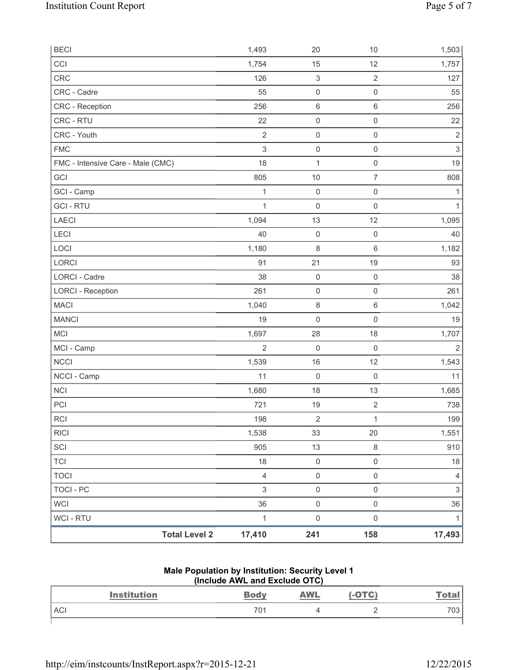| <b>BECI</b>                       |                      | 1,493          | 20                        | 10                  | 1,503                     |
|-----------------------------------|----------------------|----------------|---------------------------|---------------------|---------------------------|
| CCI                               |                      | 1,754          | 15                        | 12                  | 1,757                     |
| <b>CRC</b>                        |                      | 126            | $\ensuremath{\mathsf{3}}$ | $\overline{2}$      | 127                       |
| CRC - Cadre                       |                      | 55             | $\mathsf 0$               | $\mathsf 0$         | 55                        |
| CRC - Reception                   |                      | 256            | $\,6\,$                   | 6                   | 256                       |
| CRC - RTU                         |                      | 22             | $\mathsf{O}\xspace$       | $\mathsf 0$         | 22                        |
| CRC - Youth                       |                      | $\overline{2}$ | $\mathsf 0$               | $\mathsf{O}\xspace$ | $\mathbf 2$               |
| <b>FMC</b>                        |                      | $\sqrt{3}$     | $\mathsf 0$               | $\mathsf{O}\xspace$ | $\ensuremath{\mathsf{3}}$ |
| FMC - Intensive Care - Male (CMC) |                      | 18             | 1                         | $\mathsf 0$         | 19                        |
| GCI                               |                      | 805            | $10$                      | $\overline{7}$      | 808                       |
| GCI - Camp                        |                      | 1              | $\mathsf 0$               | $\mathsf{O}\xspace$ | 1                         |
| <b>GCI - RTU</b>                  |                      | $\mathbf{1}$   | $\mathbf 0$               | $\mathsf{O}\xspace$ | $\mathbf{1}$              |
| <b>LAECI</b>                      |                      | 1,094          | 13                        | 12                  | 1,095                     |
| LECI                              |                      | 40             | $\mathsf 0$               | $\mathsf 0$         | 40                        |
| LOCI                              |                      | 1,180          | $\,8\,$                   | 6                   | 1,182                     |
| LORCI                             |                      | 91             | 21                        | 19                  | 93                        |
| LORCI - Cadre                     |                      | 38             | $\mathsf 0$               | $\mathsf{O}\xspace$ | 38                        |
| <b>LORCI - Reception</b>          |                      | 261            | $\mathsf 0$               | $\mathsf{O}\xspace$ | 261                       |
| <b>MACI</b>                       |                      | 1,040          | $\,8\,$                   | 6                   | 1,042                     |
| <b>MANCI</b>                      |                      | 19             | $\mathsf 0$               | $\mathsf{O}\xspace$ | 19                        |
| <b>MCI</b>                        |                      | 1,697          | 28                        | 18                  | 1,707                     |
| MCI - Camp                        |                      | $\overline{2}$ | $\mathbf 0$               | $\mathsf{O}\xspace$ | $\overline{2}$            |
| <b>NCCI</b>                       |                      | 1,539          | 16                        | 12                  | 1,543                     |
| NCCI - Camp                       |                      | 11             | $\mathbf 0$               | $\mathsf 0$         | 11                        |
| <b>NCI</b>                        |                      | 1,680          | 18                        | 13                  | 1,685                     |
| PCI                               |                      | 721            | 19                        | $\mathbf 2$         | 738                       |
| <b>RCI</b>                        |                      | 198            | $\sqrt{2}$                | $\mathbf{1}$        | 199                       |
| <b>RICI</b>                       |                      | 1,538          | 33                        | 20                  | 1,551                     |
| SCI                               |                      | 905            | 13                        | 8                   | 910                       |
| <b>TCI</b>                        |                      | 18             | $\mathsf{O}\xspace$       | $\mathsf{O}\xspace$ | 18                        |
| <b>TOCI</b>                       |                      | $\overline{4}$ | $\mathsf 0$               | $\mathsf{O}\xspace$ | 4                         |
| <b>TOCI - PC</b>                  |                      | 3              | $\mathsf{O}\xspace$       | $\mathsf{O}\xspace$ | $\ensuremath{\mathsf{3}}$ |
| <b>WCI</b>                        |                      | 36             | $\mathsf 0$               | $\mathsf{O}\xspace$ | 36                        |
| WCI - RTU                         |                      | $\mathbf 1$    | $\mathsf 0$               | $\mathsf{O}\xspace$ | $\mathbf{1}$              |
|                                   | <b>Total Level 2</b> | 17,410         | 241                       | 158                 | 17,493                    |

#### **Male Population by Institution: Security Level 1 (Include AWL and Exclude OTC)**

| <b>Institution</b> | <b>Bodv</b> | <b>AWL</b> | $-OTC$ | <b>Total</b> |
|--------------------|-------------|------------|--------|--------------|
| <b>ACI</b>         | 701         |            |        | 703          |
|                    |             |            |        |              |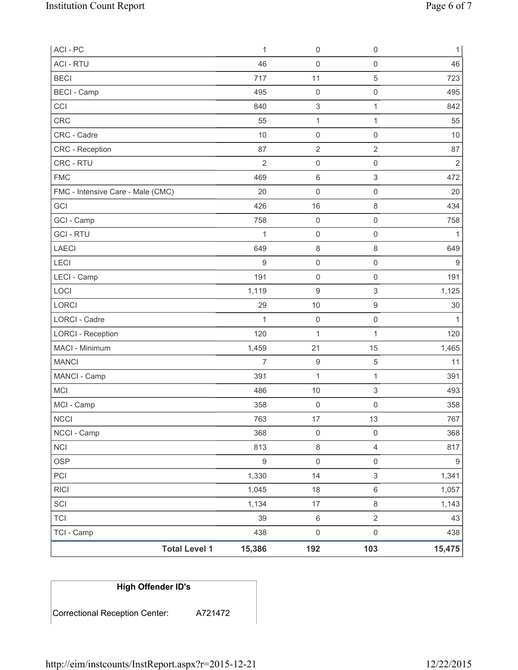| ACI - PC                          | 1              | $\mathsf{O}\xspace$       | $\mathsf 0$               | $\mathbf{1}$     |
|-----------------------------------|----------------|---------------------------|---------------------------|------------------|
| <b>ACI - RTU</b>                  | 46             | 0                         | $\mathsf{O}\xspace$       | 46               |
| <b>BECI</b>                       | 717            | 11                        | 5                         | 723              |
| <b>BECI - Camp</b>                | 495            | $\mathsf 0$               | $\mathsf{O}\xspace$       | 495              |
| CCI                               | 840            | $\ensuremath{\mathsf{3}}$ | $\mathbf{1}$              | 842              |
| CRC                               | 55             | $\mathbf{1}$              | 1                         | 55               |
| CRC - Cadre                       | 10             | 0                         | $\mathsf{O}\xspace$       | 10               |
| CRC - Reception                   | 87             | $\overline{2}$            | $\overline{2}$            | 87               |
| CRC - RTU                         | $\overline{2}$ | 0                         | $\mathsf{O}\xspace$       | $\sqrt{2}$       |
| <b>FMC</b>                        | 469            | 6                         | 3                         | 472              |
| FMC - Intensive Care - Male (CMC) | 20             | $\mathsf{O}\xspace$       | $\mathsf 0$               | 20               |
| GCI                               | 426            | 16                        | $\,8\,$                   | 434              |
| GCI - Camp                        | 758            | $\mathsf 0$               | $\mathsf{O}\xspace$       | 758              |
| <b>GCI-RTU</b>                    | 1              | $\mathsf 0$               | $\mathsf{O}\xspace$       | $\mathbf{1}$     |
| <b>LAECI</b>                      | 649            | 8                         | $\,8\,$                   | 649              |
| LECI                              | 9              | 0                         | $\mathsf 0$               | 9                |
| LECI - Camp                       | 191            | $\mathsf 0$               | $\mathsf{O}\xspace$       | 191              |
| LOCI                              | 1,119          | 9                         | 3                         | 1,125            |
| LORCI                             | 29             | 10                        | $\boldsymbol{9}$          | 30               |
| LORCI - Cadre                     | $\mathbf{1}$   | $\mathsf 0$               | $\mathsf 0$               | 1                |
| <b>LORCI - Reception</b>          | 120            | $\mathbf 1$               | $\mathbf{1}$              | 120              |
| MACI - Minimum                    | 1,459          | 21                        | 15                        | 1,465            |
| <b>MANCI</b>                      | $\overline{7}$ | $\boldsymbol{9}$          | 5                         | 11               |
| MANCI - Camp                      | 391            | $\mathbf{1}$              | $\mathbf{1}$              | 391              |
| <b>MCI</b>                        | 486            | $10$                      | 3                         | 493              |
| MCI - Camp                        | 358            | $\boldsymbol{0}$          | $\mathsf{O}\xspace$       | 358              |
| <b>NCCI</b>                       | 763            | 17                        | 13                        | 767              |
| NCCI - Camp                       | 368            | $\mathsf 0$               | $\mathsf 0$               | 368              |
| <b>NCI</b>                        | 813            | 8                         | $\overline{4}$            | 817              |
| <b>OSP</b>                        | $\mathsf g$    | $\mathsf 0$               | $\mathsf 0$               | $\boldsymbol{9}$ |
| PCI                               | 1,330          | 14                        | $\ensuremath{\mathsf{3}}$ | 1,341            |
| RICI                              | 1,045          | 18                        | $\,6\,$                   | 1,057            |
| SCI                               | 1,134          | 17                        | $\,8\,$                   | 1,143            |
| <b>TCI</b>                        | 39             | $\,6\,$                   | $\sqrt{2}$                | 43               |
| TCI - Camp                        | 438            | $\mathsf{O}\xspace$       | $\mathsf 0$               | 438              |
| <b>Total Level 1</b>              | 15,386         | 192                       | 103                       | 15,475           |

# **High Offender ID's**

Correctional Reception Center: A721472